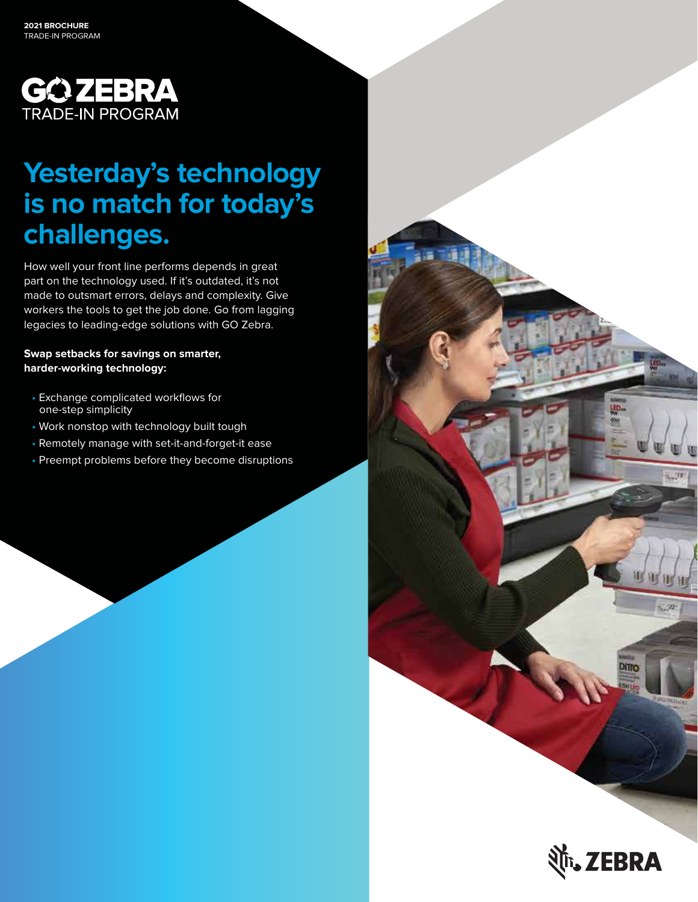

# **Yesterday's technology is no match for today's challenges.**

How well your front line performs depends in great part on the technology used. If it's outdated, it's not made to outsmart errors, delays and complexity. Give workers the tools to get the job done. Go from lagging legacies to leading-edge solutions with GO Zebra.

**Swap setbacks for savings on smarter, harder-working technology:** 

- Exchange complicated workflows for one-step simplicity
- Work nonstop with technology built tough
- Remotely manage with set-it-and-forget-it ease
- Preempt problems before they become disruptions



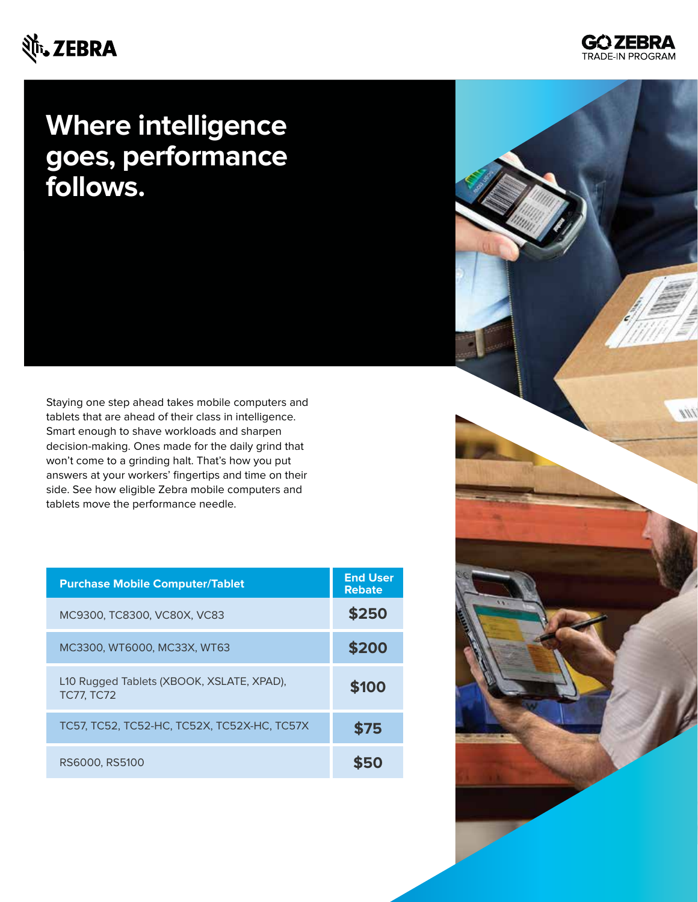#### र्णेष्**, ZEBRA**



Staying one step ahead takes mobile computers and tablets that are ahead of their class in intelligence. Smart enough to shave workloads and sharpen decision-making. Ones made for the daily grind that won't come to a grinding halt. That's how you put answers at your workers' fingertips and time on their side. See how eligible Zebra mobile computers and tablets move the performance needle.

| <b>Purchase Mobile Computer/Tablet</b>                         | <b>End User</b><br><b>Rebate</b> |
|----------------------------------------------------------------|----------------------------------|
| MC9300, TC8300, VC80X, VC83                                    | \$250                            |
| MC3300, WT6000, MC33X, WT63                                    | \$200                            |
| L10 Rugged Tablets (XBOOK, XSLATE, XPAD),<br><b>TC77, TC72</b> | \$100                            |
| TC57, TC52, TC52-HC, TC52X, TC52X-HC, TC57X                    | \$75                             |
| RS6000, RS5100                                                 |                                  |

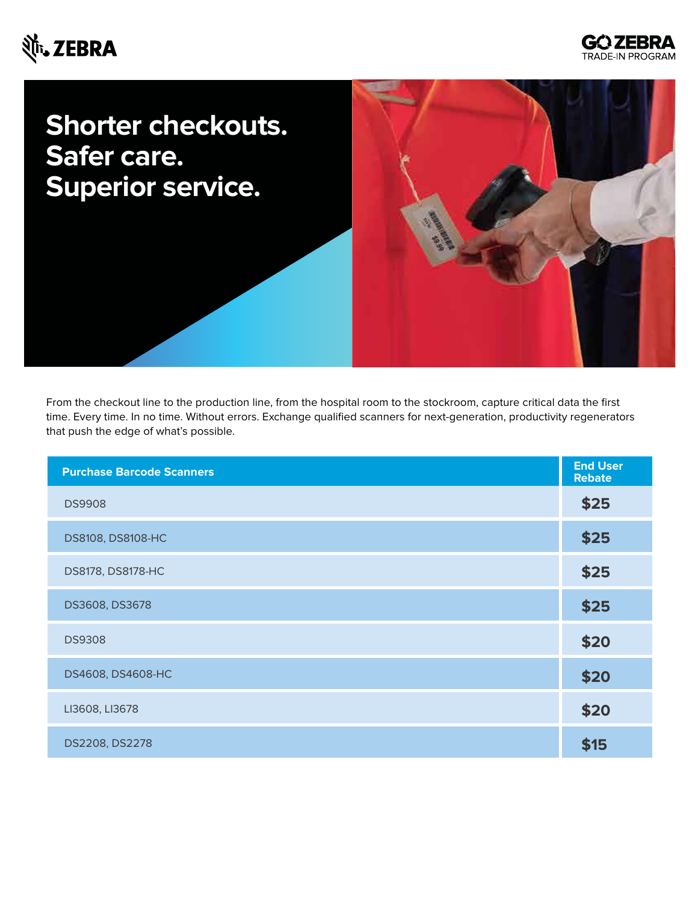#### र्शे<sub>ं</sub>, ZEBRA



# **Shorter checkouts. Safer care. Superior service.**

From the checkout line to the production line, from the hospital room to the stockroom, capture critical data the first time. Every time. In no time. Without errors. Exchange qualified scanners for next-generation, productivity regenerators that push the edge of what's possible.

| <b>Purchase Barcode Scanners</b> | <b>End User</b><br><b>Rebate</b> |
|----------------------------------|----------------------------------|
| <b>DS9908</b>                    | \$25                             |
| DS8108, DS8108-HC                | \$25                             |
| DS8178, DS8178-HC                | \$25                             |
| DS3608, DS3678                   | \$25                             |
| <b>DS9308</b>                    | \$20                             |
| DS4608, DS4608-HC                | \$20                             |
| LI3608, LI3678                   | \$20                             |
| DS2208, DS2278                   | \$15                             |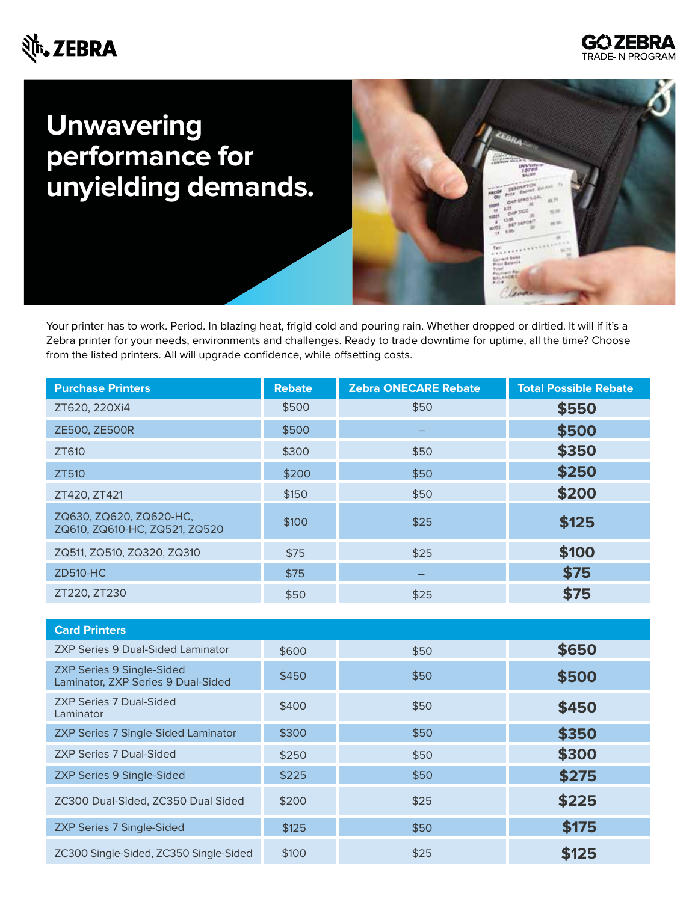### Nit. ZEBRA



## **Unwavering performance for unyielding demands.**



Your printer has to work. Period. In blazing heat, frigid cold and pouring rain. Whether dropped or dirtied. It will if it's a Zebra printer for your needs, environments and challenges. Ready to trade downtime for uptime, all the time? Choose from the listed printers. All will upgrade confidence, while offsetting costs.

| <b>Purchase Printers</b>                                 | <b>Rebate</b> | <b>Zebra ONECARE Rebate</b> | <b>Total Possible Rebate</b> |
|----------------------------------------------------------|---------------|-----------------------------|------------------------------|
| ZT620, 220Xi4                                            | \$500         | \$50                        | \$550                        |
| ZE500, ZE500R                                            | \$500         |                             | \$500                        |
| ZT610                                                    | \$300         | \$50                        | \$350                        |
| ZT510                                                    | \$200         | \$50                        | \$250                        |
| ZT420, ZT421                                             | \$150         | \$50                        | \$200                        |
| ZQ630, ZQ620, ZQ620-HC,<br>ZQ610, ZQ610-HC, ZQ521, ZQ520 | \$100         | \$25                        | \$125                        |
| ZQ511, ZQ510, ZQ320, ZQ310                               | \$75          | \$25                        | \$100                        |
| <b>ZD510-HC</b>                                          | \$75          |                             | \$75                         |
| ZT220, ZT230                                             | \$50          | \$25                        | \$75                         |

| <b>Card Printers</b>                                                   |       |      |       |
|------------------------------------------------------------------------|-------|------|-------|
| ZXP Series 9 Dual-Sided Laminator                                      | \$600 | \$50 | \$650 |
| <b>ZXP Series 9 Single-Sided</b><br>Laminator, ZXP Series 9 Dual-Sided | \$450 | \$50 | \$500 |
| <b>ZXP Series 7 Dual-Sided</b><br>Laminator                            | \$400 | \$50 | \$450 |
| <b>ZXP Series 7 Single-Sided Laminator</b>                             | \$300 | \$50 | \$350 |
| <b>ZXP Series 7 Dual-Sided</b>                                         | \$250 | \$50 | \$300 |
| <b>ZXP Series 9 Single-Sided</b>                                       | \$225 | \$50 | \$275 |
| ZC300 Dual-Sided, ZC350 Dual Sided                                     | \$200 | \$25 | \$225 |
| <b>ZXP Series 7 Single-Sided</b>                                       | \$125 | \$50 | \$175 |
| ZC300 Single-Sided, ZC350 Single-Sided                                 | \$100 | \$25 | \$125 |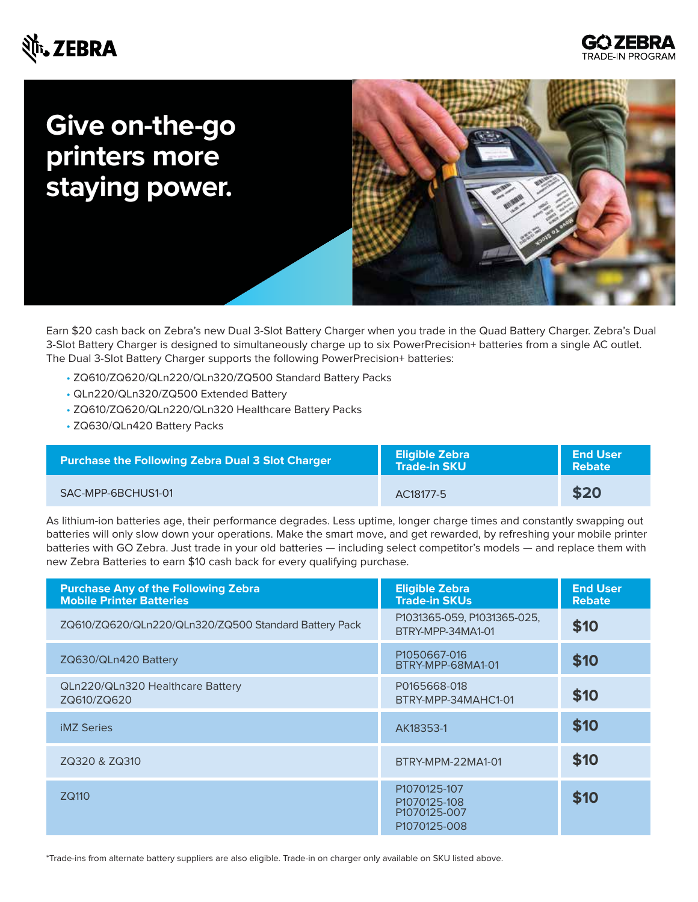### र्शे<sub>ं</sub>, ZEBRA



## **Give on-the-go printers more staying power.**



Earn \$20 cash back on Zebra's new Dual 3-Slot Battery Charger when you trade in the Quad Battery Charger. Zebra's Dual 3-Slot Battery Charger is designed to simultaneously charge up to six PowerPrecision+ batteries from a single AC outlet. The Dual 3-Slot Battery Charger supports the following PowerPrecision+ batteries:

- ZQ610/ZQ620/QLn220/QLn320/ZQ500 Standard Battery Packs
- QLn220/QLn320/ZQ500 Extended Battery
- ZQ610/ZQ620/QLn220/QLn320 Healthcare Battery Packs
- ZQ630/QLn420 Battery Packs

| Purchase the Following Zebra Dual 3 Slot Charger | <b>Eligible Zebra</b><br><b>Trade-in SKU</b> | <b>End User</b><br>Rebate |
|--------------------------------------------------|----------------------------------------------|---------------------------|
| SAC-MPP-6BCHUS1-01                               | AC18177-5                                    | \$20                      |

As lithium-ion batteries age, their performance degrades. Less uptime, longer charge times and constantly swapping out batteries will only slow down your operations. Make the smart move, and get rewarded, by refreshing your mobile printer batteries with GO Zebra. Just trade in your old batteries — including select competitor's models — and replace them with new Zebra Batteries to earn \$10 cash back for every qualifying purchase.

| <b>Purchase Any of the Following Zebra</b><br><b>Mobile Printer Batteries</b> | <b>Eligible Zebra</b><br><b>Trade-in SKUs</b>                | <b>End User</b><br><b>Rebate</b> |
|-------------------------------------------------------------------------------|--------------------------------------------------------------|----------------------------------|
| ZQ610/ZQ620/QLn220/QLn320/ZQ500 Standard Battery Pack                         | P1031365-059, P1031365-025,<br>BTRY-MPP-34MA1-01             | \$10                             |
| ZQ630/QLn420 Battery                                                          | P1050667-016<br>BTRY-MPP-68MA1-01                            | \$10                             |
| QLn220/QLn320 Healthcare Battery<br>ZQ610/ZQ620                               | P0165668-018<br>BTRY-MPP-34MAHC1-01                          | \$10                             |
| <b>iMZ Series</b>                                                             | AK18353-1                                                    | \$10                             |
| ZQ320 & ZQ310                                                                 | BTRY-MPM-22MA1-01                                            | \$10                             |
| ZQ110                                                                         | P1070125-107<br>P1070125-108<br>P1070125-007<br>P1070125-008 | \$10                             |

\*Trade-ins from alternate battery suppliers are also eligible. Trade-in on charger only available on SKU listed above.